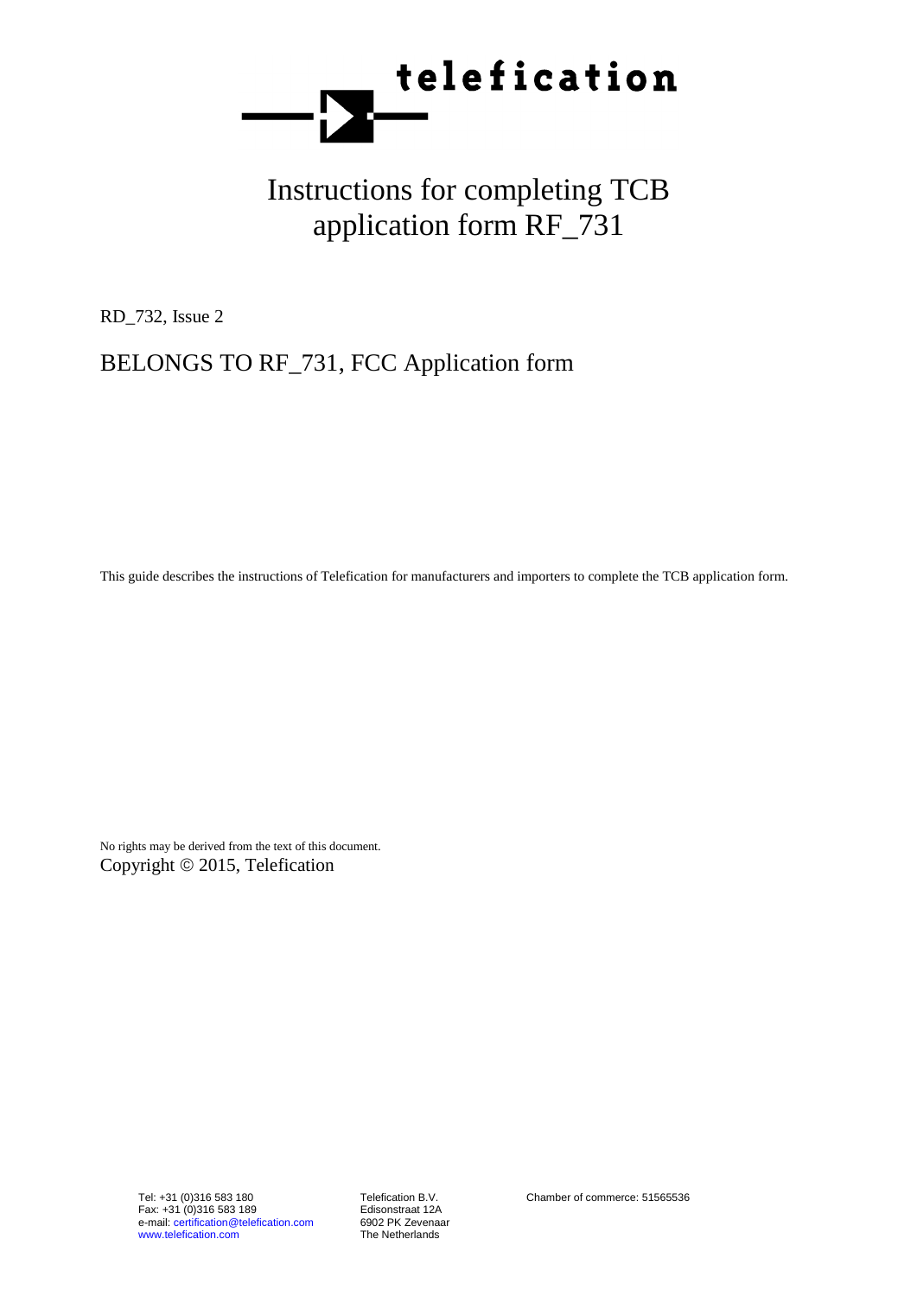

# Instructions for completing TCB application form RF\_731

RD\_732, Issue 2

## BELONGS TO RF\_731, FCC Application form

This guide describes the instructions of Telefication for manufacturers and importers to complete the TCB application form.

No rights may be derived from the text of this document. Copyright © 2015, Telefication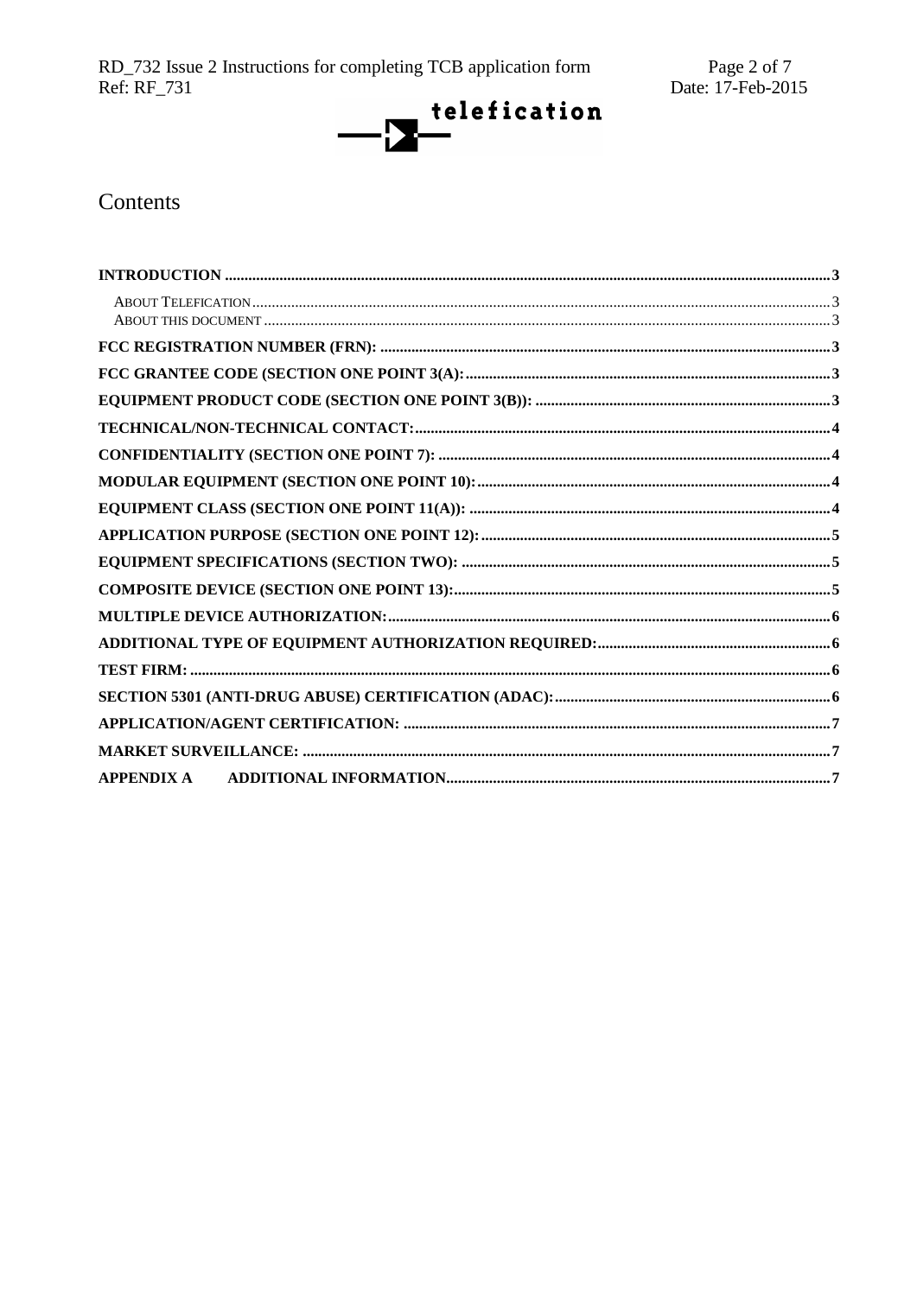RD\_732 Issue 2 Instructions for completing TCB application form<br>Ref: RF\_731



## Contents

| APPENDIX A |  |
|------------|--|
|            |  |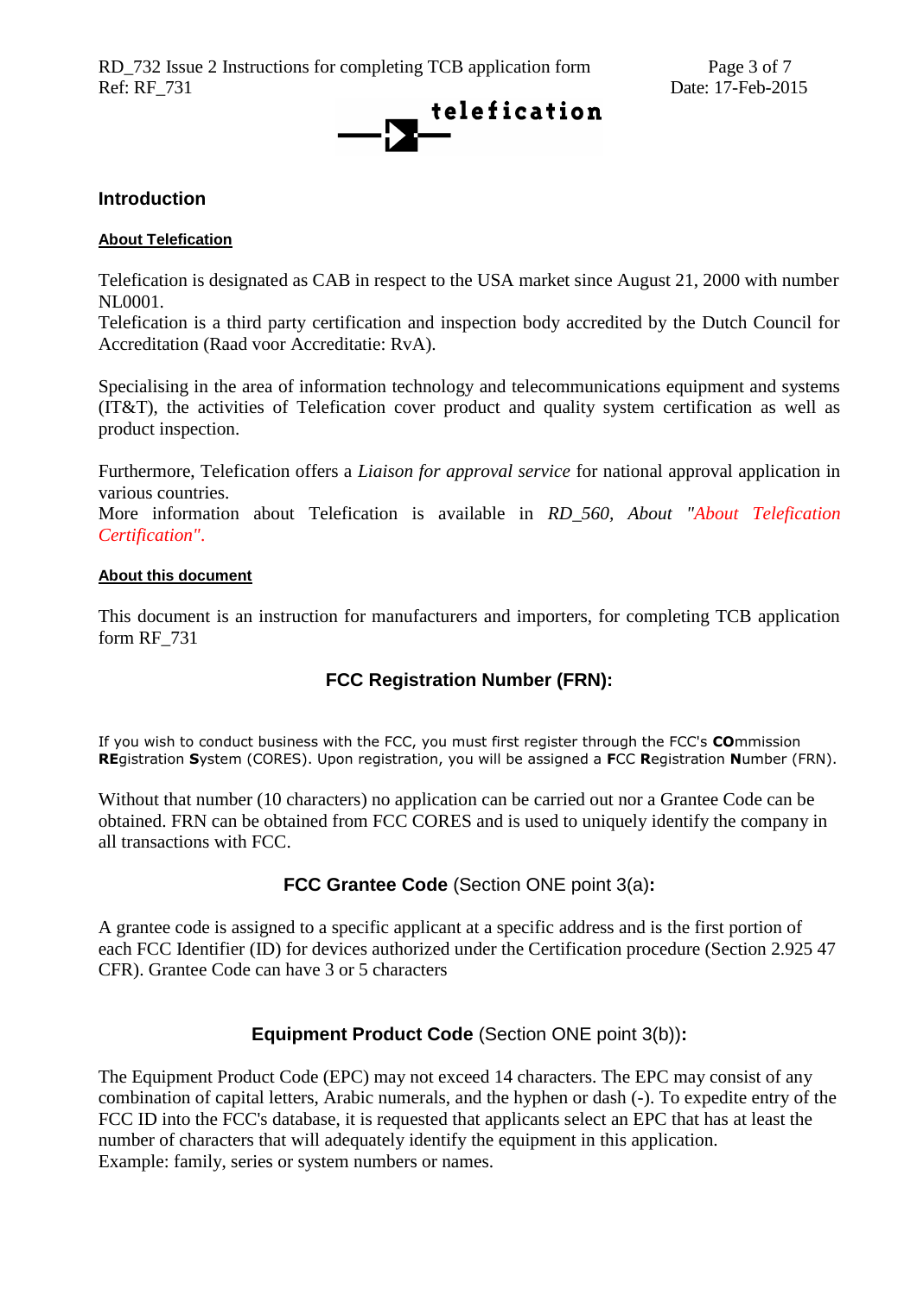

#### <span id="page-2-6"></span><span id="page-2-0"></span>**Introduction**

#### <span id="page-2-1"></span>**About Telefication**

Telefication is designated as CAB in respect to the USA market since August 21, 2000 with number NL0001.

Telefication is a third party certification and inspection body accredited by the Dutch Council for Accreditation (Raad voor Accreditatie: RvA).

Specialising in the area of information technology and telecommunications equipment and systems (IT&T), the activities of Telefication cover product and quality system certification as well as product inspection.

Furthermore, Telefication offers a *Liaison for approval service* for national approval application in various countries.

More information about Telefication is available in *RD\_560, About "About Telefication Certification"*.

#### <span id="page-2-2"></span>**About this document**

<span id="page-2-3"></span>This document is an instruction for manufacturers and importers, for completing TCB application form RF\_731

## **FCC Registration Number (FRN):**

If you wish to conduct business with the FCC, you must first register through the FCC's **CO**mmission **RE**gistration **S**ystem (CORES). Upon registration, you will be assigned a **F**CC **R**egistration **N**umber (FRN).

Without that number (10 characters) no application can be carried out nor a Grantee Code can be obtained. FRN can be obtained from FCC CORES and is used to uniquely identify the company in all transactions with FCC.

### **FCC Grantee Code** (Section ONE point 3(a)**:**

<span id="page-2-4"></span>A grantee code is assigned to a specific applicant at a specific address and is the first portion of each FCC Identifier (ID) for devices authorized under the Certification procedure (Section 2.925 47 CFR). Grantee Code can have 3 or 5 characters

#### **Equipment Product Code** (Section ONE point 3(b))**:**

<span id="page-2-5"></span>The Equipment Product Code (EPC) may not exceed 14 characters. The EPC may consist of any combination of capital letters, Arabic numerals, and the hyphen or dash (-). To expedite entry of the FCC ID into the FCC's database, it is requested that applicants select an EPC that has at least the number of characters that will adequately identify the equipment in this application. Example: family, series or system numbers or names.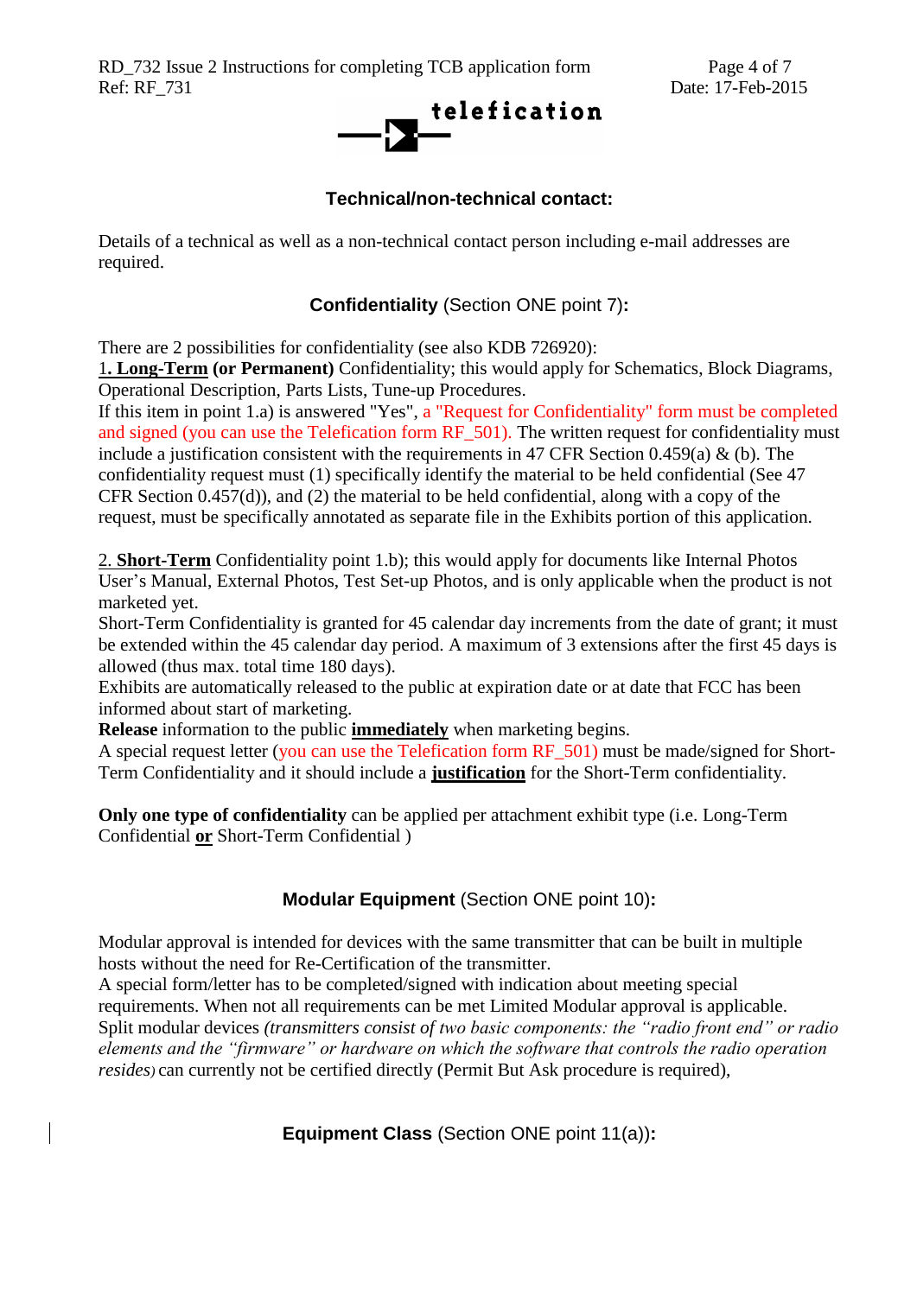RD\_732 Issue 2 Instructions for completing TCB application form Page 4 of 7 Ref: RF 731 Date: 17-Feb-2015



#### **Technical/non-technical contact:**

Details of a technical as well as a non-technical contact person including e-mail addresses are required.

#### **Confidentiality** (Section ONE point 7)**:**

<span id="page-3-0"></span>There are 2 possibilities for confidentiality (see also KDB 726920):

1**. Long-Term (or Permanent)** Confidentiality; this would apply for Schematics, Block Diagrams, Operational Description, Parts Lists, Tune-up Procedures.

If this item in point 1.a) is answered "Yes", a "Request for Confidentiality" form must be completed and signed (you can use the Telefication form RF\_501). The written request for confidentiality must include a justification consistent with the requirements in 47 CFR Section 0.459(a) & (b). The confidentiality request must (1) specifically identify the material to be held confidential (See 47 CFR Section 0.457(d)), and (2) the material to be held confidential, along with a copy of the request, must be specifically annotated as separate file in the Exhibits portion of this application.

2. **Short-Term** Confidentiality point 1.b); this would apply for documents like Internal Photos User's Manual, External Photos, Test Set-up Photos, and is only applicable when the product is not marketed yet.

Short-Term Confidentiality is granted for 45 calendar day increments from the date of grant; it must be extended within the 45 calendar day period. A maximum of 3 extensions after the first 45 days is allowed (thus max. total time 180 days).

Exhibits are automatically released to the public at expiration date or at date that FCC has been informed about start of marketing.

**Release** information to the public **immediately** when marketing begins.

A special request letter (you can use the Telefication form RF 501) must be made/signed for Short-Term Confidentiality and it should include a **justification** for the Short-Term confidentiality.

**Only one type of confidentiality** can be applied per attachment exhibit type (i.e. Long-Term Confidential **or** Short-Term Confidential )

#### **Modular Equipment** (Section ONE point 10)**:**

<span id="page-3-1"></span>Modular approval is intended for devices with the same transmitter that can be built in multiple hosts without the need for Re-Certification of the transmitter.

<span id="page-3-2"></span>A special form/letter has to be completed/signed with indication about meeting special requirements. When not all requirements can be met Limited Modular approval is applicable. Split modular devices *(transmitters consist of two basic components: the "radio front end" or radio elements and the "firmware" or hardware on which the software that controls the radio operation resides)* can currently not be certified directly (Permit But Ask procedure is required),

**Equipment Class** (Section ONE point 11(a))**:**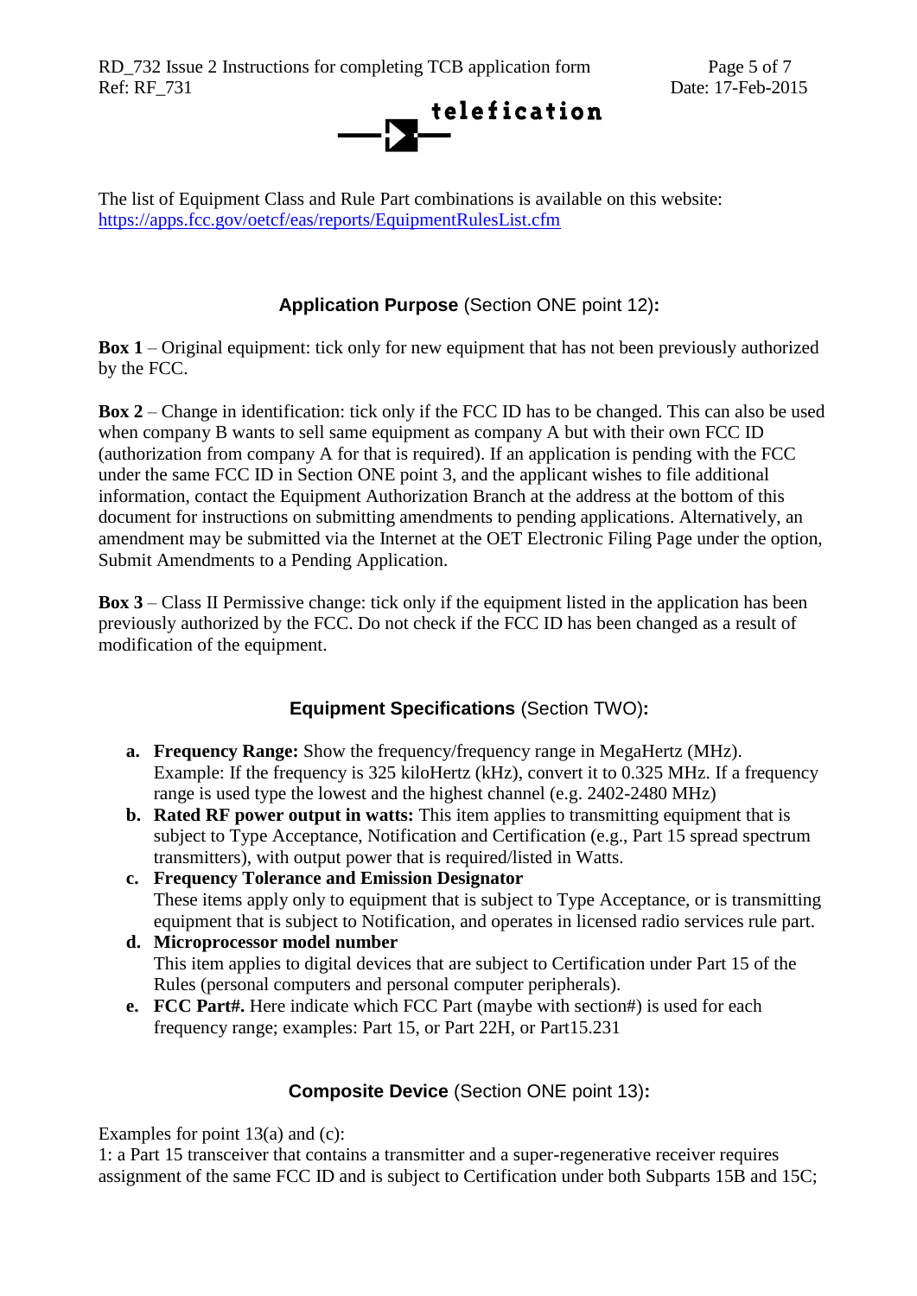RD\_732 Issue 2 Instructions for completing TCB application form Page 5 of 7 Ref: RF\_731 Date: 17-Feb-2015



The list of Equipment Class and Rule Part combinations is available on this website: <https://apps.fcc.gov/oetcf/eas/reports/EquipmentRulesList.cfm>

## **Application Purpose** (Section ONE point 12)**:**

<span id="page-4-0"></span>**Box 1** – Original equipment: tick only for new equipment that has not been previously authorized by the FCC.

**Box 2** – Change in identification: tick only if the FCC ID has to be changed. This can also be used when company B wants to sell same equipment as company A but with their own FCC ID (authorization from company A for that is required). If an application is pending with the FCC under the same FCC ID in Section ONE point 3, and the applicant wishes to file additional information, contact the Equipment Authorization Branch at the address at the bottom of this document for instructions on submitting amendments to pending applications. Alternatively, an amendment may be submitted via the Internet at the OET Electronic Filing Page under the option, Submit Amendments to a Pending Application.

**Box 3** – Class II Permissive change: tick only if the equipment listed in the application has been previously authorized by the FCC. Do not check if the FCC ID has been changed as a result of modification of the equipment.

## **Equipment Specifications** (Section TWO)**:**

- <span id="page-4-1"></span>**a. Frequency Range:** Show the frequency/frequency range in MegaHertz (MHz). Example: If the frequency is 325 kiloHertz (kHz), convert it to 0.325 MHz. If a frequency range is used type the lowest and the highest channel (e.g. 2402-2480 MHz)
- **b. Rated RF power output in watts:** This item applies to transmitting equipment that is subject to Type Acceptance, Notification and Certification (e.g., Part 15 spread spectrum transmitters), with output power that is required/listed in Watts.
- **c. Frequency Tolerance and Emission Designator**  These items apply only to equipment that is subject to Type Acceptance, or is transmitting equipment that is subject to Notification, and operates in licensed radio services rule part.
- **d. Microprocessor model number**  This item applies to digital devices that are subject to Certification under Part 15 of the Rules (personal computers and personal computer peripherals).
- **e. FCC Part#.** Here indicate which FCC Part (maybe with section#) is used for each frequency range; examples: Part 15, or Part 22H, or Part15.231

#### **Composite Device** (Section ONE point 13)**:**

<span id="page-4-2"></span>Examples for point 13(a) and (c):

1: a Part 15 transceiver that contains a transmitter and a super-regenerative receiver requires assignment of the same FCC ID and is subject to Certification under both Subparts 15B and 15C;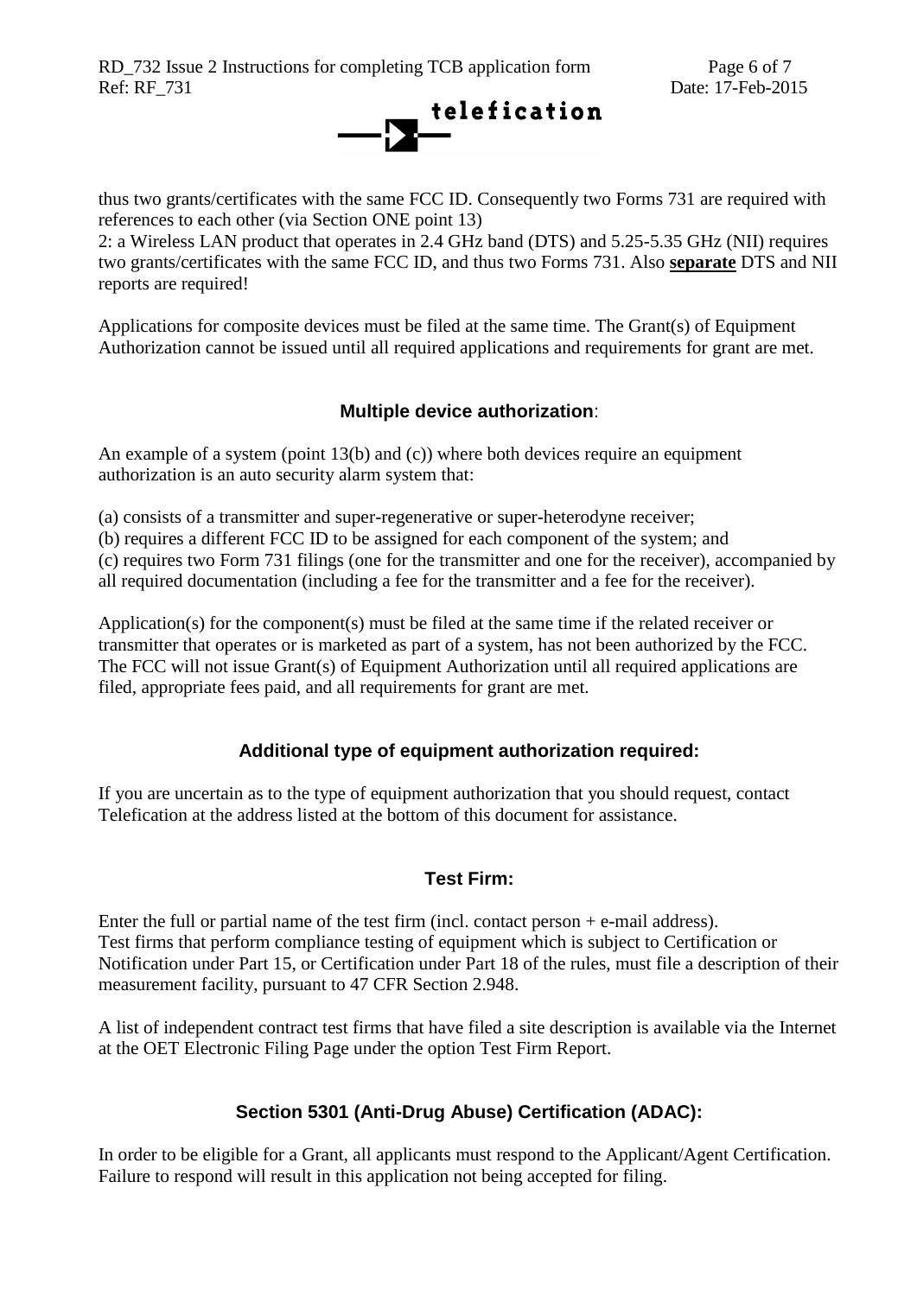RD\_732 Issue 2 Instructions for completing TCB application form Page 6 of 7 Ref: RF\_731 Date: 17-Feb-2015



thus two grants/certificates with the same FCC ID. Consequently two Forms 731 are required with references to each other (via Section ONE point 13)

2: a Wireless LAN product that operates in 2.4 GHz band (DTS) and 5.25-5.35 GHz (NII) requires two grants/certificates with the same FCC ID, and thus two Forms 731. Also **separate** DTS and NII reports are required!

Applications for composite devices must be filed at the same time. The Grant(s) of Equipment Authorization cannot be issued until all required applications and requirements for grant are met.

## **Multiple device authorization**:

<span id="page-5-0"></span>An example of a system (point 13(b) and (c)) where both devices require an equipment authorization is an auto security alarm system that:

(a) consists of a transmitter and super-regenerative or super-heterodyne receiver;

(b) requires a different FCC ID to be assigned for each component of the system; and

(c) requires two Form 731 filings (one for the transmitter and one for the receiver), accompanied by all required documentation (including a fee for the transmitter and a fee for the receiver).

Application(s) for the component(s) must be filed at the same time if the related receiver or transmitter that operates or is marketed as part of a system, has not been authorized by the FCC. The FCC will not issue Grant(s) of Equipment Authorization until all required applications are filed, appropriate fees paid, and all requirements for grant are met.

## **Additional type of equipment authorization required:**

<span id="page-5-1"></span>If you are uncertain as to the type of equipment authorization that you should request, contact Telefication at the address listed at the bottom of this document for assistance.

## **Test Firm:**

<span id="page-5-2"></span>Enter the full or partial name of the test firm (incl. contact person  $+e$ -mail address). Test firms that perform compliance testing of equipment which is subject to Certification or Notification under Part 15, or Certification under Part 18 of the rules, must file a description of their measurement facility, pursuant to 47 CFR Section 2.948.

A list of independent contract test firms that have filed a site description is available via the Internet at the OET Electronic Filing Page under the option Test Firm Report.

## **Section 5301 (Anti-Drug Abuse) Certification (ADAC):**

<span id="page-5-3"></span>In order to be eligible for a Grant, all applicants must respond to the Applicant/Agent Certification. Failure to respond will result in this application not being accepted for filing.